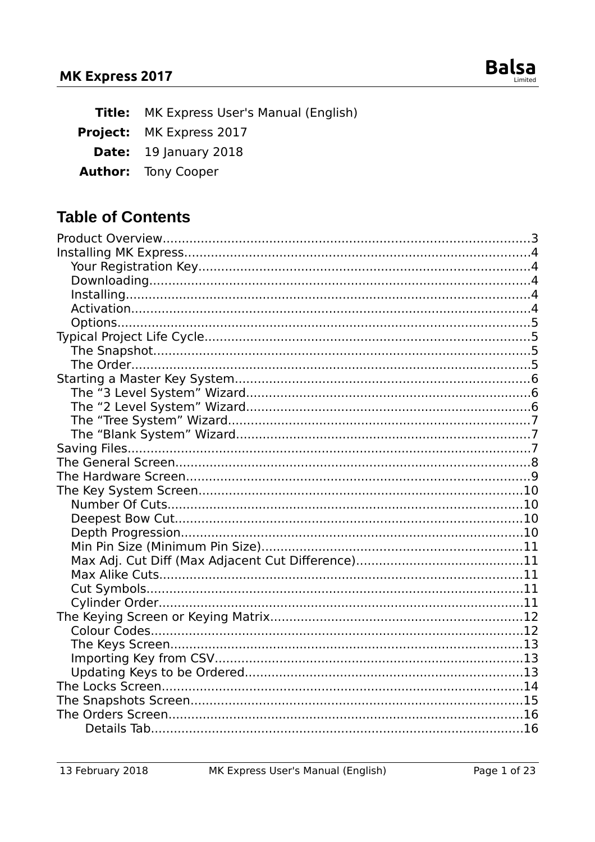

Title: MK Express User's Manual (English)

Project: MK Express 2017

Date: 19 January 2018

**Author:** Tony Cooper

### **Table of Contents**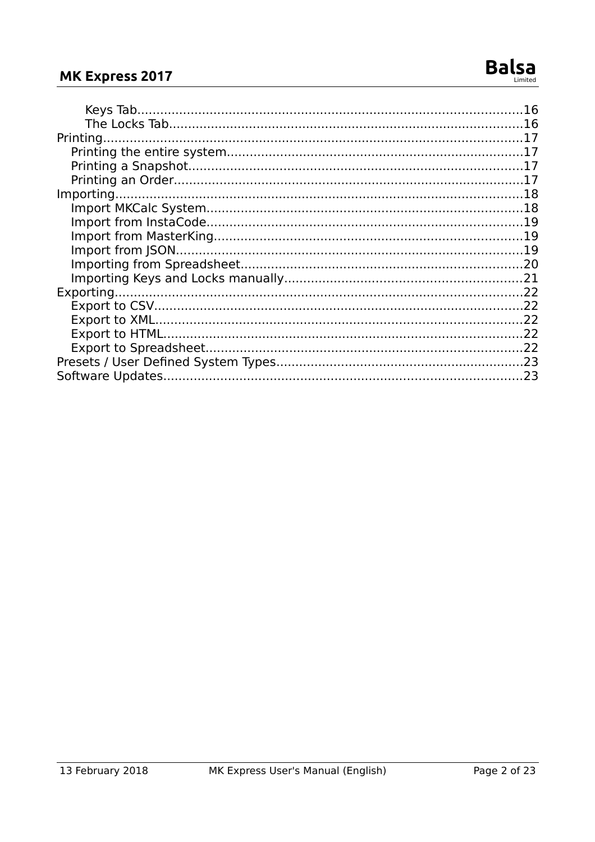#### MK Express 2017

| .22 |
|-----|
|     |
|     |
| 23  |
|     |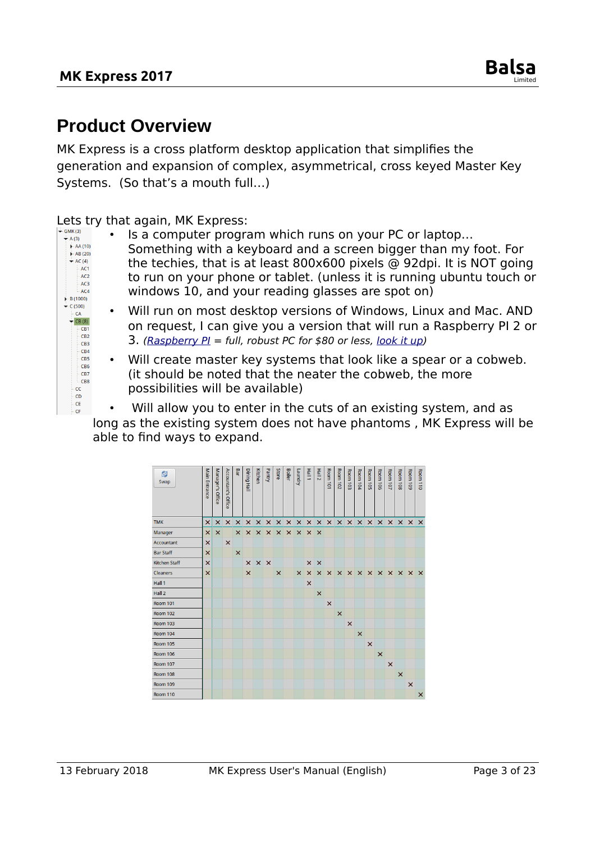### <span id="page-2-0"></span>**Product Overview**

MK Express is a cross platform desktop application that simplifies the generation and expansion of complex, asymmetrical, cross keyed Master Key Systems. (So that's a mouth full…)

Lets try that again, MK Express:

- $\stackrel{\downarrow}{\leftarrow}$  A (3)  $A = A(10)$ <br> $A = AB(20)$  $\overline{\phantom{a}}$  AC (4)  $-$ AC1  $AC2$ AC<sub>3</sub>  $AC4$  $\blacktriangleright$  B (1000)  $\overline{\phantom{a}}$  C (500)  $CA$  $\overline{CB(8)}$ CB1  $CR2$ CB3 CB4 CB5 CB<sub>6</sub> CB7 CB8 cc  $CD$ - CE  $-CF$
- Is a computer program which runs on your PC or laptop… Something with a keyboard and a screen bigger than my foot. For
- the techies, that is at least 800x600 pixels @ 92dpi. It is NOT going to run on your phone or tablet. (unless it is running ubuntu touch or windows 10, and your reading glasses are spot on)
- Will run on most desktop versions of Windows, Linux and Mac. AND on request, I can give you a version that will run a Raspberry PI 2 or 3. (Raspberry  $PI = full$ , robust PC for \$80 or less, [look it up\)](https://en.wikipedia.org/wiki/Raspberry_Pi)
- Will create master key systems that look like a spear or a cobweb. (it should be noted that the neater the cobweb, the more possibilities will be available)

Will allow you to enter in the cuts of an existing system, and as long as the existing system does not have phantoms , MK Express will be able to find ways to expand.

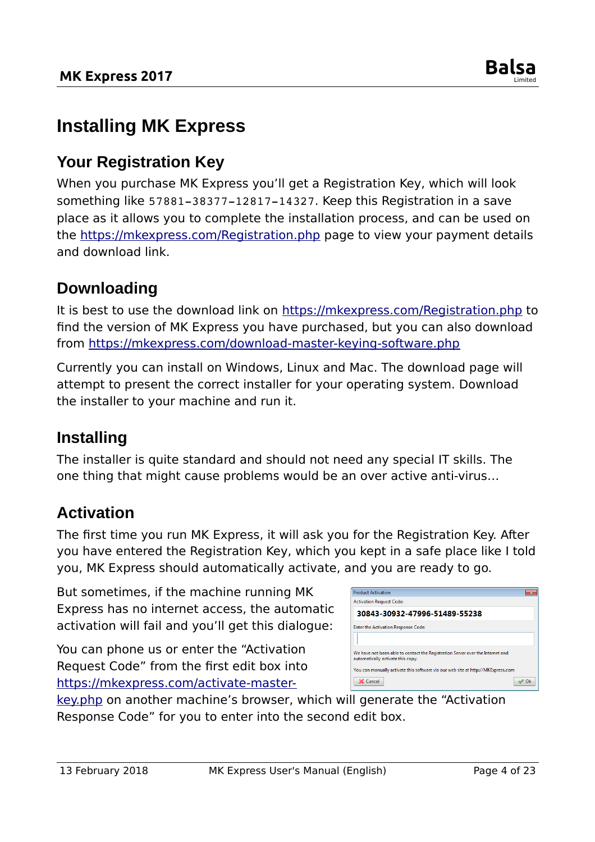

### <span id="page-3-4"></span>**Installing MK Express**

#### <span id="page-3-3"></span>**Your Registration Key**

When you purchase MK Express you'll get a Registration Key, which will look something like 57881-38377-12817-14327. Keep this Registration in a save place as it allows you to complete the installation process, and can be used on the<https://mkexpress.com/Registration.php>page to view your payment details and download link.

#### <span id="page-3-2"></span>**Downloading**

It is best to use the download link on<https://mkexpress.com/Registration.php>to find the version of MK Express you have purchased, but you can also download from<https://mkexpress.com/download-master-keying-software.php>

Currently you can install on Windows, Linux and Mac. The download page will attempt to present the correct installer for your operating system. Download the installer to your machine and run it.

#### <span id="page-3-1"></span>**Installing**

The installer is quite standard and should not need any special IT skills. The one thing that might cause problems would be an over active anti-virus…

#### <span id="page-3-0"></span>**Activation**

The first time you run MK Express, it will ask you for the Registration Key. After you have entered the Registration Key, which you kept in a safe place like I told you, MK Express should automatically activate, and you are ready to go.

But sometimes, if the machine running MK Express has no internet access, the automatic activation will fail and you'll get this dialogue:

You can phone us or enter the "Activation Request Code" from the first edit box into [https://mkexpress.com/activate-master-](https://mkexpress.com/activate-master-key.php)

| <b>Product Activation</b>                                                                                           |    |
|---------------------------------------------------------------------------------------------------------------------|----|
| <b>Activation Request Code:</b>                                                                                     |    |
| 30843-30932-47996-51489-55238                                                                                       |    |
| Enter the Activation Response Code:                                                                                 |    |
|                                                                                                                     |    |
| We have not been able to contact the Registration Server over the Internet and<br>automatically activate this copy. |    |
| You can manually activate this software via our web site at http://MKExpress.com                                    |    |
| X Cancel                                                                                                            | Ok |

[key.php](https://mkexpress.com/activate-master-key.php) on another machine's browser, which will generate the "Activation Response Code" for you to enter into the second edit box.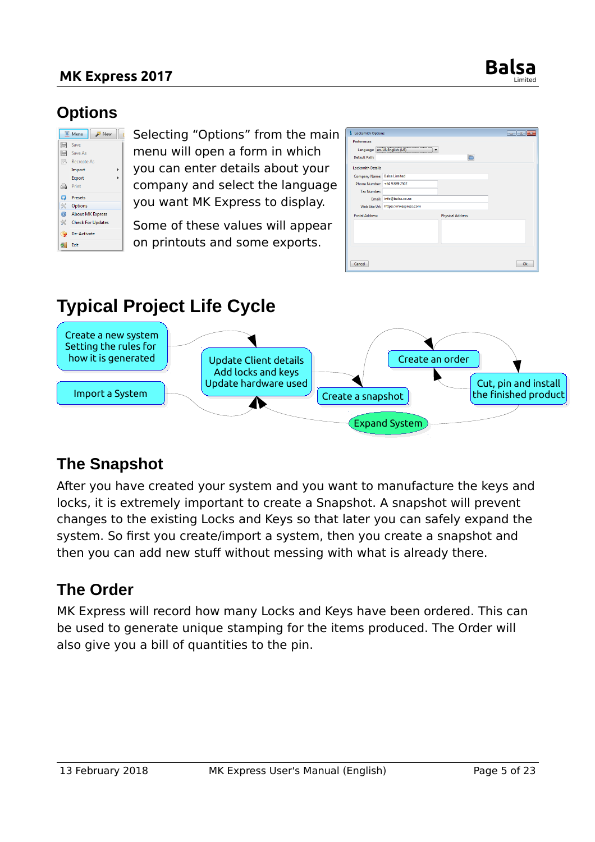#### **MK Express 2017**



#### <span id="page-4-3"></span>**Options**

|                | <b>Wenu</b><br>New       |
|----------------|--------------------------|
| H              | Save                     |
| A              | Save As                  |
| 爲              | Recreate As              |
|                | Import                   |
|                | Export                   |
| A              | Print                    |
| ධ              | <b>Presets</b>           |
| ≪              | Options                  |
| $\circledcirc$ | <b>About MK Express</b>  |
| ℁              | <b>Check For Updates</b> |
| ◒              | De-Activate              |
| 51             | Exit                     |

Selecting "Options" from the main menu will open a form in which you can enter details about your company and select the language you want MK Express to display.

Some of these values will appear on printouts and some exports.

| <b>S</b> Locksmith Options                                          |                                     |                          | $\mathbf{x}$<br>$\Box$<br><b>FOR</b> |
|---------------------------------------------------------------------|-------------------------------------|--------------------------|--------------------------------------|
| <b>Preferences</b><br>Language: en-US:English (US)<br>Default Path: | ۰                                   | n                        |                                      |
| <b>Locksmith Details</b>                                            |                                     |                          |                                      |
| Company Name:                                                       | <b>Balsa Limited</b>                |                          |                                      |
| Phone Number: +64 9 889 2502                                        |                                     |                          |                                      |
| <b>Tax Number:</b>                                                  |                                     |                          |                                      |
| Email:                                                              | info@balsa.co.nz                    |                          |                                      |
|                                                                     | Web Site Url: https://mkexpress.com |                          |                                      |
| <b>Postal Address:</b>                                              |                                     | <b>Physical Address:</b> |                                      |
|                                                                     |                                     |                          |                                      |
|                                                                     |                                     |                          |                                      |
| Cancel                                                              |                                     |                          | Ok                                   |

### <span id="page-4-2"></span>**Typical Project Life Cycle**



### <span id="page-4-1"></span>**The Snapshot**

After you have created your system and you want to manufacture the keys and locks, it is extremely important to create a Snapshot. A snapshot will prevent changes to the existing Locks and Keys so that later you can safely expand the system. So first you create/import a system, then you create a snapshot and then you can add new stuff without messing with what is already there.

#### <span id="page-4-0"></span>**The Order**

MK Express will record how many Locks and Keys have been ordered. This can be used to generate unique stamping for the items produced. The Order will also give you a bill of quantities to the pin.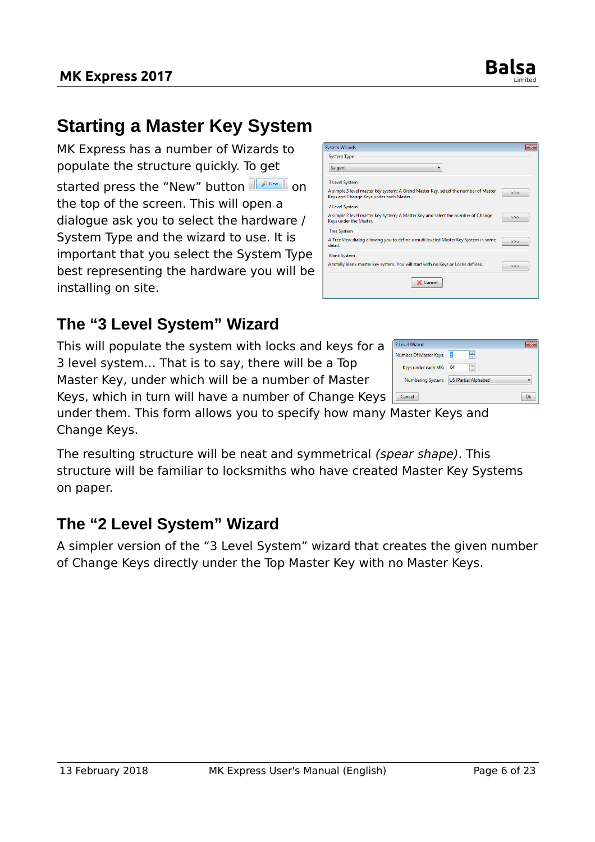### <span id="page-5-2"></span>**Starting a Master Key System**

**MK Express 2017** 

MK Express has a number of Wizards to populate the structure quickly. To get started press the "New" button FANew On the top of the screen. This will open a dialogue ask you to select the hardware / System Type and the wizard to use. It is important that you select the System Type best representing the hardware you will be installing on site.

### <span id="page-5-1"></span>**The "3 Level System" Wizard**

This will populate the system with locks and keys for a 3 level system… That is to say, there will be a Top Master Key, under which will be a number of Master

Keys, which in turn will have a number of Change Keys

under them. This form allows you to specify how many Master Keys and Change Keys.

The resulting structure will be neat and symmetrical (spear shape). This structure will be familiar to locksmiths who have created Master Key Systems on paper.

Sargent

detail

#### <span id="page-5-0"></span>**The "2 Level System" Wizard**

A simpler version of the "3 Level System" wizard that creates the given number of Change Keys directly under the Top Master Key with no Master Keys.



X Cancel

| 3 Level Wizard         |                              |  |
|------------------------|------------------------------|--|
| Number Of Master Keys: | ÷                            |  |
| Keys under each MK:    | 64                           |  |
| Numbering System:      | <b>US (Partial Alphabet)</b> |  |
| Cancel                 |                              |  |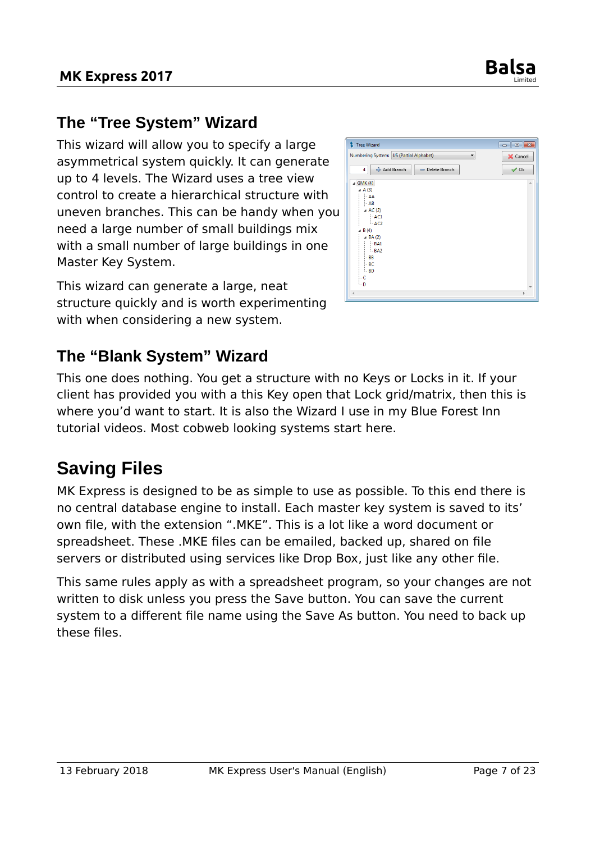

 $\Box$   $\Box$   $\Box$ 

X Cancel

 $\rightarrow$  Ok

### <span id="page-6-2"></span>**The "Tree System" Wizard**

This wizard will allow you to specify a large asymmetrical system quickly. It can generate up to 4 levels. The Wizard uses a tree view control to create a hierarchical structure with uneven branches. This can be handy when you need a large number of small buildings mix with a small number of large buildings in one Master Key System.

This wizard can generate a large, neat structure quickly and is worth experimenting with when considering a new system.

# <span id="page-6-1"></span>**The "Blank System" Wizard**

This one does nothing. You get a structure with no Keys or Locks in it. If your client has provided you with a this Key open that Lock grid/matrix, then this is where you'd want to start. It is also the Wizard I use in my Blue Forest Inn tutorial videos. Most cobweb looking systems start here.

### <span id="page-6-0"></span>**Saving Files**

MK Express is designed to be as simple to use as possible. To this end there is no central database engine to install. Each master key system is saved to its' own file, with the extension ".MKE". This is a lot like a word document or spreadsheet. These .MKE files can be emailed, backed up, shared on file servers or distributed using services like Drop Box, just like any other file.

This same rules apply as with a spreadsheet program, so your changes are not written to disk unless you press the Save button. You can save the current system to a different file name using the Save As button. You need to back up these files.



Tree Wizard

Numbering System: US (Partial Alphabet)

 $\overline{4}$   $\overline{\phantom{4}}$   $\overline{\phantom{4}}$   $\overline{\phantom{4}}$   $\overline{\phantom{4}}$   $\overline{\phantom{4}}$   $\overline{\phantom{4}}$   $\overline{\phantom{4}}$   $\overline{\phantom{4}}$   $\overline{\phantom{4}}$   $\overline{\phantom{4}}$   $\overline{\phantom{4}}$   $\overline{\phantom{4}}$   $\overline{\phantom{4}}$   $\overline{\phantom{4}}$   $\overline{\phantom{4}}$   $\overline{\phantom{4}}$   $\overline{\phantom{4}}$   $\overline{\phantom{$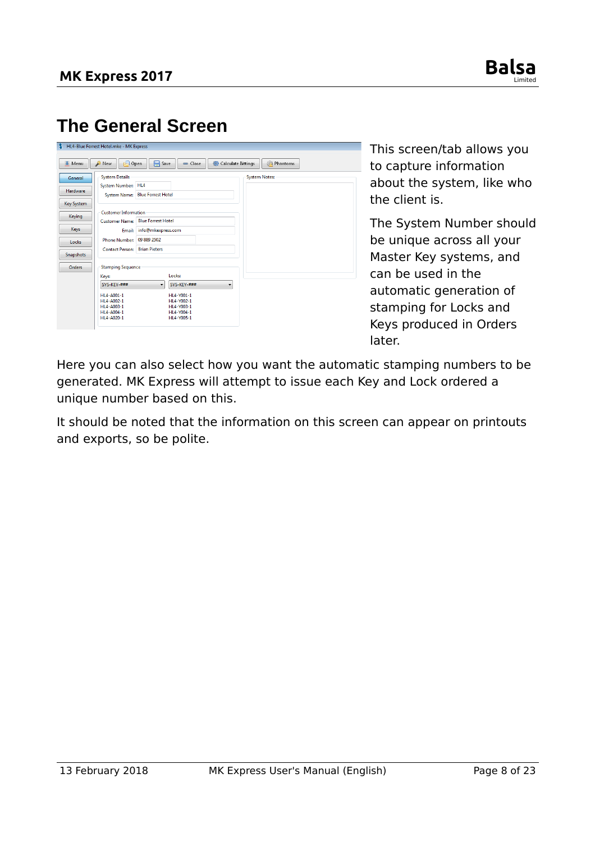

### <span id="page-7-0"></span>**The General Screen**

| Menu             | 甴<br><b>X</b> New                           | Save<br>Open              | - Close     | Calculate Bittings | <b>Phantoms</b>      |  |
|------------------|---------------------------------------------|---------------------------|-------------|--------------------|----------------------|--|
| General          | <b>System Details</b><br>System Number: HL4 |                           |             |                    | <b>System Notes:</b> |  |
| <b>Hardware</b>  | System Name:                                | <b>Blue Forrest Hotel</b> |             |                    |                      |  |
| Key System       |                                             |                           |             |                    |                      |  |
| Keying           | <b>Customer Information</b>                 |                           |             |                    |                      |  |
|                  | <b>Customer Name:</b>                       | <b>Blue Forrest Hotel</b> |             |                    |                      |  |
| Keys             | Email:                                      | info@mkexpress.com        |             |                    |                      |  |
| Locks            | <b>Phone Number:</b>                        | 09 889 2502               |             |                    |                      |  |
| <b>Snapshots</b> | <b>Contact Person:</b>                      | <b>Brian Pieters</b>      |             |                    |                      |  |
|                  |                                             |                           |             |                    |                      |  |
| <b>Orders</b>    | <b>Stamping Sequence</b>                    |                           |             |                    |                      |  |
|                  | Keys:                                       |                           | Locks:      |                    |                      |  |
|                  | SYS-KEY-###                                 | $\blacktriangledown$      | SYS-KEY-### | ▼                  |                      |  |
|                  | HL4-A001-1                                  |                           | HL4-Y001-1  |                    |                      |  |
|                  | HL4-A002-1                                  |                           | HL4-Y002-1  |                    |                      |  |
|                  | HL4-A003-1                                  |                           | HL4-Y003-1  |                    |                      |  |
|                  | HL4-A004-1                                  |                           | HL4-Y004-1  |                    |                      |  |
|                  | HL4-A020-1                                  |                           | HL4-Y005-1  |                    |                      |  |

This screen/tab allows you to capture information about the system, like who the client is.

The System Number should be unique across all your Master Key systems, and can be used in the automatic generation of stamping for Locks and Keys produced in Orders later.

Here you can also select how you want the automatic stamping numbers to be generated. MK Express will attempt to issue each Key and Lock ordered a unique number based on this.

It should be noted that the information on this screen can appear on printouts and exports, so be polite.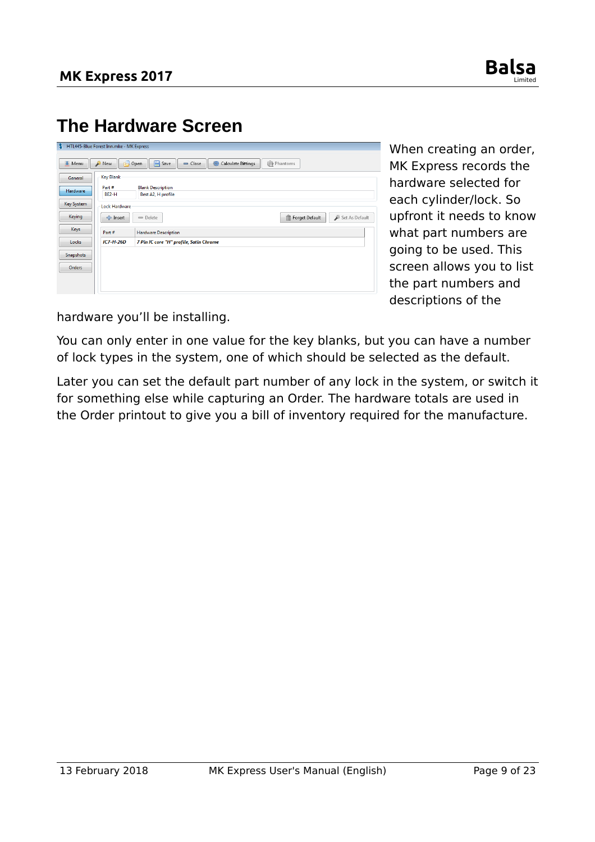

### <span id="page-8-0"></span>**The Hardware Screen**

| и                | HTL445-Blue Forest Inn.mke - MK Express |                                                                                   |
|------------------|-----------------------------------------|-----------------------------------------------------------------------------------|
| Menu             | New                                     | $\Box$ Open<br><b>P</b> Save<br><b>%Phantoms</b><br>Calculate Bittings<br>□ Close |
| General          | <b>Key Blank</b>                        |                                                                                   |
| <b>Hardware</b>  | Part#<br><b>BE2-H</b>                   | <b>Blank Description</b><br>Best A2, H profile                                    |
| Key System       | <b>Lock Hardware</b>                    |                                                                                   |
| Keying           | 수 Insert                                | Set As Default<br>Forget Default<br>$=$ Delete<br>π                               |
| Keys             | Part#                                   | <b>Hardware Description</b>                                                       |
| Locks            | $IC7-H-26D$                             | 7 Pin IC core "H" profile, Satin Chrome                                           |
| <b>Snapshots</b> |                                         |                                                                                   |
| Orders           |                                         |                                                                                   |
|                  |                                         |                                                                                   |

When creating an order, MK Express records the hardware selected for each cylinder/lock. So upfront it needs to know what part numbers are going to be used. This screen allows you to list the part numbers and descriptions of the

hardware you'll be installing.

You can only enter in one value for the key blanks, but you can have a number of lock types in the system, one of which should be selected as the default.

Later you can set the default part number of any lock in the system, or switch it for something else while capturing an Order. The hardware totals are used in the Order printout to give you a bill of inventory required for the manufacture.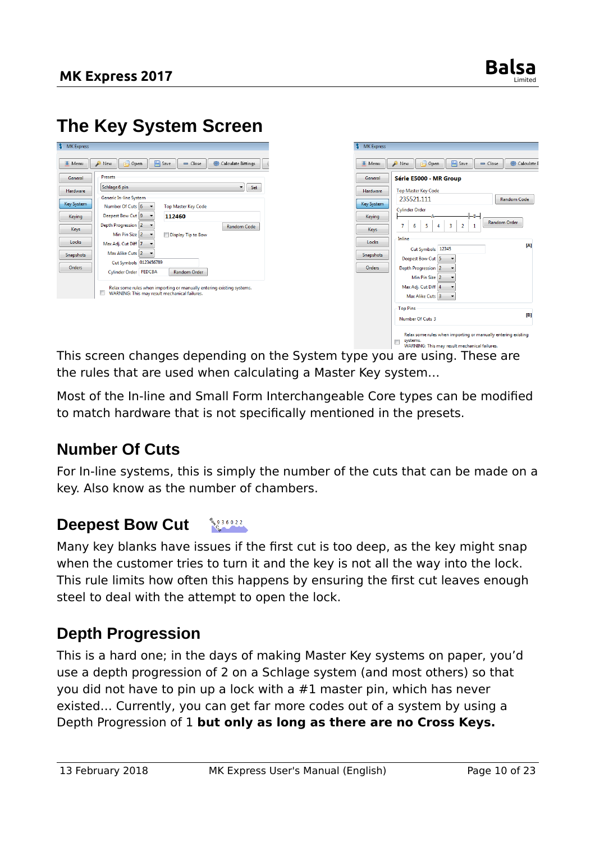### <span id="page-9-3"></span>**The Key System Screen**

| Schlage 6 pin<br>Hardware<br>Generic In-line System<br><b>Key System</b><br>Number Of Cuts 6<br><b>Top Master Key Code</b><br>Deepest Bow Cut 9<br>112460<br>Keying<br>Depth Progression 2<br><b>Random Code</b><br>Keys<br>Min Pin Size 2<br>Display Tip to Bow<br>Locks<br>Max Adj. Cut Diff 7<br>Max Alike Cuts 2<br>۰.<br>Snapshots | General | <b>Presets</b>         |
|-----------------------------------------------------------------------------------------------------------------------------------------------------------------------------------------------------------------------------------------------------------------------------------------------------------------------------------------|---------|------------------------|
|                                                                                                                                                                                                                                                                                                                                         |         | Set                    |
|                                                                                                                                                                                                                                                                                                                                         |         |                        |
|                                                                                                                                                                                                                                                                                                                                         |         |                        |
|                                                                                                                                                                                                                                                                                                                                         |         |                        |
|                                                                                                                                                                                                                                                                                                                                         |         |                        |
|                                                                                                                                                                                                                                                                                                                                         |         |                        |
|                                                                                                                                                                                                                                                                                                                                         |         |                        |
|                                                                                                                                                                                                                                                                                                                                         |         |                        |
|                                                                                                                                                                                                                                                                                                                                         |         | Cut Symbols 0123456789 |
| Orders<br>Cylinder Order FEDCBA<br><b>Random Order</b>                                                                                                                                                                                                                                                                                  |         |                        |

| <b>亚 Menu</b>     | Save<br>New<br>$\Box$ Open                   | Calculate E<br>$=$ Close |
|-------------------|----------------------------------------------|--------------------------|
| General           | Série E5000 - MR Group                       |                          |
| Hardware          | <b>Top Master Key Code</b>                   |                          |
| <b>Key System</b> | 235521.111                                   | <b>Random Code</b>       |
| Keying            | <b>Cylinder Order</b>                        | <b>Random Order</b>      |
| Keys              | 3<br>5<br>$\overline{a}$<br>7<br>6<br>4<br>1 |                          |
| Locks             | Inline<br>12345<br><b>Cut Symbols</b>        | [A]                      |
| <b>Snapshots</b>  | Deepest Bow Cut 5                            |                          |
| Orders            | Depth Progression 2                          |                          |
|                   | Min Pin Size 2                               |                          |
|                   | Max Adj. Cut Diff 4                          |                          |
|                   | Max Alike Cuts 3                             |                          |
|                   | <b>Top Pins</b>                              |                          |
|                   | Number Of Cuts 3                             | [B]                      |

systems.<br>WARNING: This may result mechanical failures. This screen changes depending on the System type you are using. These are the rules that are used when calculating a Master Key system…

Most of the In-line and Small Form Interchangeable Core types can be modified to match hardware that is not specifically mentioned in the presets.

#### <span id="page-9-2"></span>**Number Of Cuts**

For In-line systems, this is simply the number of the cuts that can be made on a key. Also know as the number of chambers.

#### <span id="page-9-1"></span>**B<sub>ON</sub> 9 3 6 0 2 2 Deepest Bow Cut**

Many key blanks have issues if the first cut is too deep, as the key might snap when the customer tries to turn it and the key is not all the way into the lock. This rule limits how often this happens by ensuring the first cut leaves enough steel to deal with the attempt to open the lock.

#### <span id="page-9-0"></span>**Depth Progression**

This is a hard one; in the days of making Master Key systems on paper, you'd use a depth progression of 2 on a Schlage system (and most others) so that you did not have to pin up a lock with a #1 master pin, which has never existed… Currently, you can get far more codes out of a system by using a Depth Progression of 1 **but only as long as there are no Cross Keys.**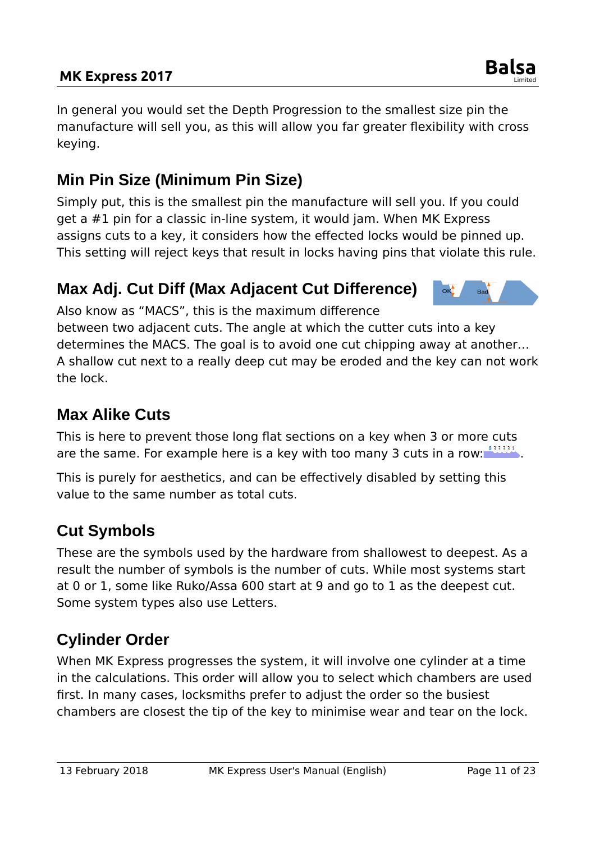#### **MK Express 2017 Balsa**

In general you would set the Depth Progression to the smallest size pin the manufacture will sell you, as this will allow you far greater flexibility with cross keying.

### <span id="page-10-4"></span>**Min Pin Size (Minimum Pin Size)**

Simply put, this is the smallest pin the manufacture will sell you. If you could get a #1 pin for a classic in-line system, it would jam. When MK Express assigns cuts to a key, it considers how the effected locks would be pinned up. This setting will reject keys that result in locks having pins that violate this rule.

### <span id="page-10-3"></span>**Max Adj. Cut Diff (Max Adjacent Cut Difference)**

Also know as "MACS", this is the maximum difference

between two adjacent cuts. The angle at which the cutter cuts into a key determines the MACS. The goal is to avoid one cut chipping away at another… A shallow cut next to a really deep cut may be eroded and the key can not work the lock.

### <span id="page-10-2"></span>**Max Alike Cuts**

This is here to prevent those long flat sections on a key when 3 or more cuts are the same. For example here is a key with too many 3 cuts in a row:  $\frac{133331}{12}$ .

This is purely for aesthetics, and can be effectively disabled by setting this value to the same number as total cuts.

### <span id="page-10-1"></span>**Cut Symbols**

These are the symbols used by the hardware from shallowest to deepest. As a result the number of symbols is the number of cuts. While most systems start at 0 or 1, some like Ruko/Assa 600 start at 9 and go to 1 as the deepest cut. Some system types also use Letters.

### <span id="page-10-0"></span>**Cylinder Order**

When MK Express progresses the system, it will involve one cylinder at a time in the calculations. This order will allow you to select which chambers are used first. In many cases, locksmiths prefer to adjust the order so the busiest chambers are closest the tip of the key to minimise wear and tear on the lock.



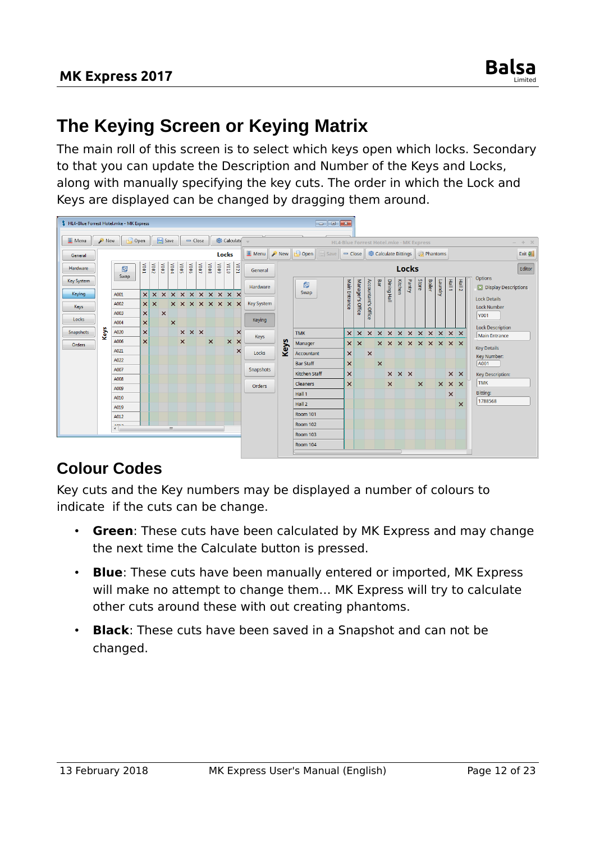### <span id="page-11-1"></span>**The Keying Screen or Keying Matrix**

The main roll of this screen is to select which keys open which locks. Secondary to that you can update the Description and Number of the Keys and Locks, along with manually specifying the key cuts. The order in which the Lock and Keys are displayed can be changed by dragging them around.



### <span id="page-11-0"></span>**Colour Codes**

Key cuts and the Key numbers may be displayed a number of colours to indicate if the cuts can be change.

- **Green:** These cuts have been calculated by MK Express and may change the next time the Calculate button is pressed.
- **Blue**: These cuts have been manually entered or imported, MK Express will make no attempt to change them… MK Express will try to calculate other cuts around these with out creating phantoms.
- **Black**: These cuts have been saved in a Snapshot and can not be changed.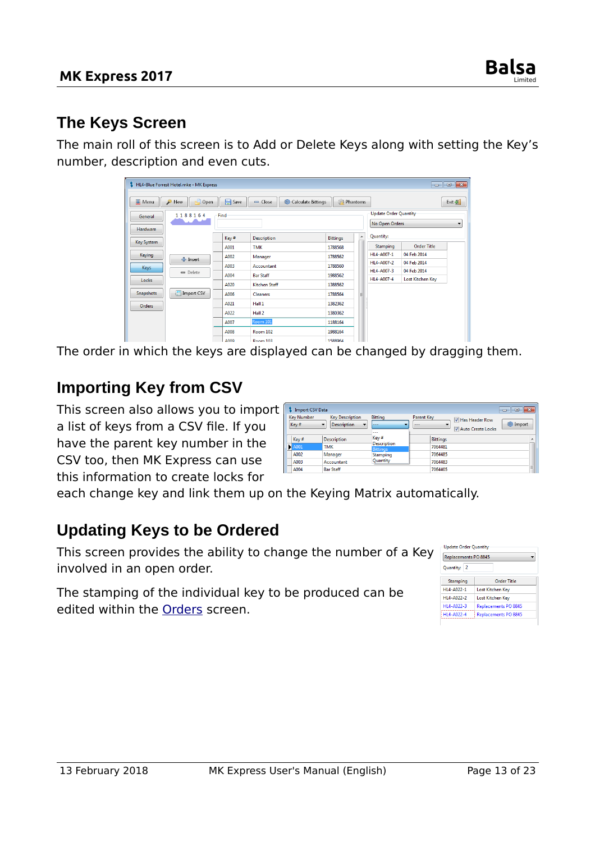#### <span id="page-12-2"></span>**The Keys Screen**

The main roll of this screen is to Add or Delete Keys along with setting the Key's number, description and even cuts.

|                  | $\begin{array}{c c c c c c} \hline \multicolumn{3}{c }{-1} & \multicolumn{3}{c }{-1} & \multicolumn{3}{c }{-1} \end{array}$<br>HL4-Blue Forrest Hotel.mke - MK Express |      |                      |                                |   |                              |                  |                          |
|------------------|------------------------------------------------------------------------------------------------------------------------------------------------------------------------|------|----------------------|--------------------------------|---|------------------------------|------------------|--------------------------|
| <b>亚 Menu</b>    | $\Box$ Open<br>New                                                                                                                                                     | Save | $=$ Close            | Phantoms<br>Calculate Bittings |   |                              |                  | Exit $\frac{1}{2}$       |
| General          | 1188164                                                                                                                                                                | Find |                      |                                |   | <b>Update Order Quantity</b> |                  |                          |
| Hardware         |                                                                                                                                                                        |      |                      |                                |   | No Open Orders               |                  | $\overline{\phantom{a}}$ |
|                  |                                                                                                                                                                        | Key# | <b>Description</b>   | <b>Bittings</b>                | ▲ | Quantity:                    |                  |                          |
| Key System       |                                                                                                                                                                        | A001 | <b>TMK</b>           | 1788568                        |   | Stamping                     | Order Title      |                          |
| <b>Keying</b>    | 수 Insert                                                                                                                                                               | A002 | Manager              | 1788562                        |   | HL4-A007-1                   | 04 Feb 2014      |                          |
| <b>Keys</b>      |                                                                                                                                                                        | A003 | Accountant           | 1788560                        |   | HI4-A007-2                   | 04 Feb 2014      |                          |
|                  | $=$ Delete                                                                                                                                                             | A004 | <b>Bar Staff</b>     | 1988562                        |   | HL4-A007-3                   | 04 Feb 2014      |                          |
| Locks            |                                                                                                                                                                        | A020 | <b>Kitchen Staff</b> | 1388562                        |   | HI4-A007-4                   | Lost Kitchen Key |                          |
| <b>Snapshots</b> | Import CSV                                                                                                                                                             | A006 | <b>Cleaners</b>      | 1788564                        | E |                              |                  |                          |
| Orders           |                                                                                                                                                                        | A021 | Hall 1               | 1382362                        |   |                              |                  |                          |
|                  |                                                                                                                                                                        | A022 | Hall 2               | 1380362                        |   |                              |                  |                          |
|                  |                                                                                                                                                                        | A007 | Room 101             | 1188164                        |   |                              |                  |                          |
|                  |                                                                                                                                                                        | A008 | Room 102             | 1988164                        |   |                              |                  |                          |
|                  |                                                                                                                                                                        | A000 | <b>Doom 102</b>      | 1500064                        |   |                              |                  |                          |

The order in which the keys are displayed can be changed by dragging them.

### <span id="page-12-1"></span>**Importing Key from CSV**

This screen also allows you to import a list of keys from a CSV file. If you have the parent key number in the CSV too, then MK Express can use this information to create locks for

| <b>Import CSV Data</b>     |                                                                                                      |                                       | $\parallel$ 23<br>$\Box$<br>$\Box$                                                   |
|----------------------------|------------------------------------------------------------------------------------------------------|---------------------------------------|--------------------------------------------------------------------------------------|
| <b>Key Number</b><br>Key#  | <b>Kev Description</b><br>$\overline{\phantom{a}}$<br><b>Description</b><br>$\overline{\phantom{a}}$ | Bitting<br>۰.<br>---<br>---           | <b>Parent Kev</b><br>Has Header Row<br><b>See Import</b><br>---<br>Auto Create Locks |
| Key#                       | <b>Description</b>                                                                                   | Key#                                  | <b>Bittings</b><br>$\mathcal{L}_{\mathcal{C}}$                                       |
| $\blacktriangleright$ A001 | <b>TMK</b>                                                                                           | <b>Description</b><br><b>Bittings</b> | 7064481                                                                              |
| A002                       | Manager                                                                                              | Stamping                              | 7064485                                                                              |
| A003                       | Accountant                                                                                           | Quantity                              | 7064483                                                                              |
| A004                       | <b>Bar Staff</b>                                                                                     |                                       | Ξ<br>7064405                                                                         |

each change key and link them up on the Keying Matrix automatically.

#### <span id="page-12-0"></span>**Updating Keys to be Ordered**

This screen provides the ability to change the number of a Key involved in an open order.

The stamping of the individual key to be produced can be edited within the [Orders](#page-4-0) screen.

| Replacements PO 8845        |                             |
|-----------------------------|-----------------------------|
| Quantity:<br>$\overline{2}$ |                             |
| Stamping                    | Order Title                 |
| HL4-A022-1                  | <b>Lost Kitchen Key</b>     |
| HL4-A022-2                  | Lost Kitchen Key            |
| HL4-A022-3                  | <b>Replacements PO 8845</b> |
| HL4-A022-4                  | Replacements PO 8845        |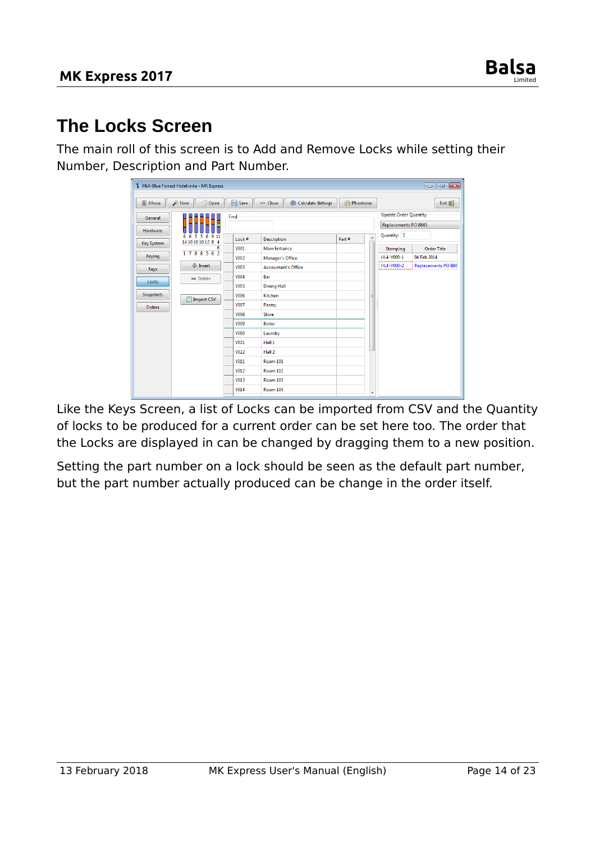

### <span id="page-13-0"></span>**The Locks Screen**

The main roll of this screen is to Add and Remove Locks while setting their Number, Description and Part Number.

|                   | HL4-Blue Forrest Hotel.mke - MK Express |             |                                 |                                   |                                          |  |
|-------------------|-----------------------------------------|-------------|---------------------------------|-----------------------------------|------------------------------------------|--|
| <b>亚 Menu</b>     | New<br>Open                             | Save        | Calculate Bittings<br>$=$ Close | Phantoms                          | Exit $\frac{1}{2}$                       |  |
| General           |                                         | Find        |                                 | <b>Update Order Quantity</b>      |                                          |  |
| Hardware          |                                         |             |                                 | Replacements PO 8845              |                                          |  |
|                   | 911<br>8<br>6<br>5<br>6<br>5            | Lock#       | <b>Description</b>              | $\overline{\phantom{a}}$<br>Part# | Quantity: 1                              |  |
| <b>Key System</b> | 14 10 10 10 12 8 4<br>6                 | <b>Y001</b> | <b>Main Entrance</b>            |                                   | <b>Order Title</b><br>Stamping           |  |
| Keying            | 1788562                                 | <b>Y002</b> | Manager's Office                |                                   | HL4-Y009-1<br>04 Feb 2014                |  |
| Keys              | 수 Insert                                | <b>Y003</b> | <b>Accountant's Office</b>      |                                   | HL4-Y009-2<br><b>Replacements PO 884</b> |  |
|                   | $=$ Delete                              | <b>Y004</b> | Bar                             |                                   |                                          |  |
| Locks             |                                         | <b>Y005</b> | <b>Dining Hall</b>              |                                   |                                          |  |
| Snapshots         | Import CSV                              | <b>Y006</b> | Kitchen                         | Ξ                                 |                                          |  |
| <b>Orders</b>     |                                         | <b>Y007</b> | Pantry                          |                                   |                                          |  |
|                   |                                         | <b>Y008</b> | <b>Store</b>                    |                                   |                                          |  |
|                   |                                         | <b>Y009</b> | <b>Boiler</b>                   |                                   |                                          |  |
|                   |                                         | <b>Y010</b> | Laundry                         |                                   |                                          |  |
|                   |                                         | <b>Y021</b> | Hall 1                          |                                   |                                          |  |
|                   |                                         | <b>Y022</b> | Hall 2                          |                                   |                                          |  |
|                   |                                         | <b>Y011</b> | <b>Room 101</b>                 |                                   |                                          |  |
|                   |                                         | <b>Y012</b> | <b>Room 102</b>                 |                                   |                                          |  |
|                   |                                         | <b>Y013</b> | Room 103                        |                                   |                                          |  |
|                   |                                         | <b>Y014</b> | Room 104                        | $\overline{\phantom{a}}$          |                                          |  |

Like the Keys Screen, a list of Locks can be imported from CSV and the Quantity of locks to be produced for a current order can be set here too. The order that the Locks are displayed in can be changed by dragging them to a new position.

Setting the part number on a lock should be seen as the default part number, but the part number actually produced can be change in the order itself.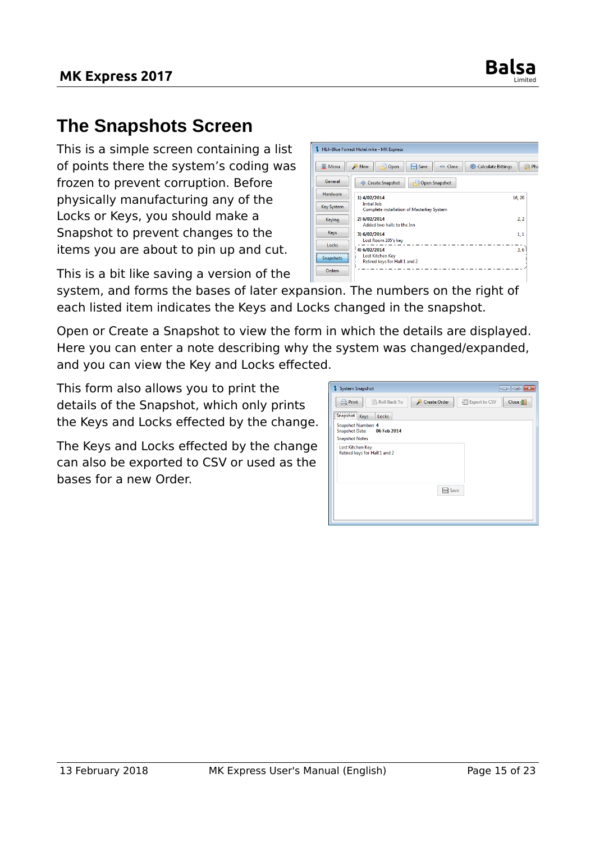

### <span id="page-14-0"></span>**The Snapshots Screen**

This is a simple screen containing a list of points there the system's coding was frozen to prevent corruption. Before physically manufacturing any of the Locks or Keys, you should make a Snapshot to prevent changes to the items you are about to pin up and cut.

This is a bit like saving a version of the



system, and forms the bases of later expansion. The numbers on the right of each listed item indicates the Keys and Locks changed in the snapshot.

Open or Create a Snapshot to view the form in which the details are displayed. Here you can enter a note describing why the system was changed/expanded, and you can view the Key and Locks effected.

This form also allows you to print the details of the Snapshot, which only prints the Keys and Locks effected by the change.

The Keys and Locks effected by the change can also be exported to CSV or used as the bases for a new Order.

| System Snapshot                                                                            | ⊩х<br>$\Box$<br>$\Box$                               |
|--------------------------------------------------------------------------------------------|------------------------------------------------------|
| <b>Print</b><br>Roll Back To                                                               | Close $\frac{1}{2}$<br>Create Order<br>Export to CSV |
| ,,,,,,,,,,,,,,,,,,,,,,,,,,,,<br>Snapshot Keys<br>Locks                                     |                                                      |
| <b>Snapshot Number: 4</b><br><b>Snapshot Date:</b><br>06 Feb 2014<br><b>Snapshot Notes</b> |                                                      |
| <b>Lost Kitchen Key</b><br>Retired keys for Hall 1 and 2                                   |                                                      |
|                                                                                            | Save                                                 |
|                                                                                            |                                                      |
|                                                                                            |                                                      |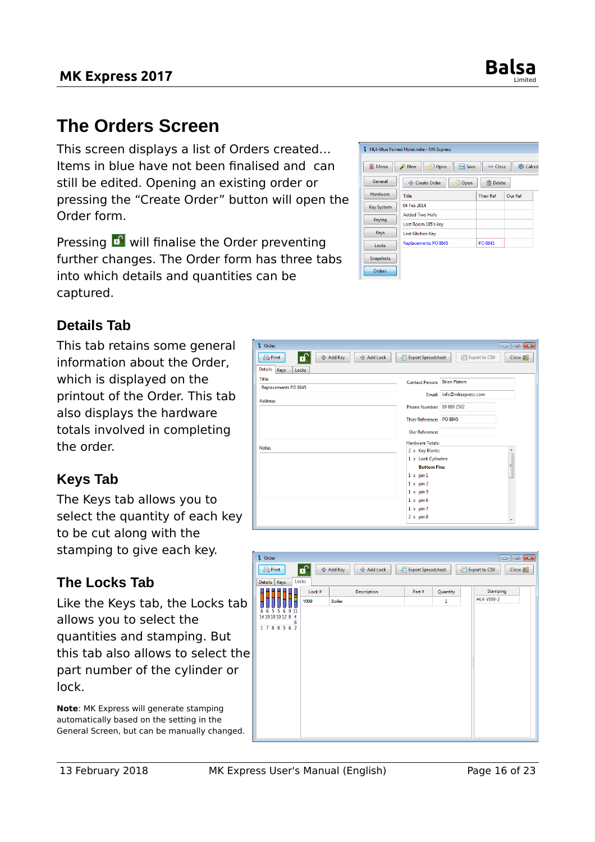

 $\boxed{\blacksquare \blacksquare \blacksquare \blacksquare \blacksquare}$ 

### <span id="page-15-1"></span>**The Orders Screen**

This screen displays a list of Orders created… Items in blue have not been finalised and can still be edited. Opening an existing order or pressing the "Create Order" button will open the Order form.

Pressing  $\mathbf{r}$  will finalise the Order preventing further changes. The Order form has three tabs into which details and quantities can be captured.

\$ Order



#### <span id="page-15-0"></span>**Details Tab**

This tab retains some general information about the Order, which is displayed on the printout of the Order. This tab also displays the hardware totals involved in completing the order.

#### <span id="page-15-3"></span>**Keys Tab**

The Keys tab allows you to select the quantity of each key to be cut along with the stamping to give each key.

#### <span id="page-15-2"></span>**The Locks Tab**

Like the Keys tab, the Locks tab allows you to select the quantities and stamping. But this tab also allows to select the part number of the cylinder or lock.

**Note**: MK Express will generate stamping automatically based on the setting in the General Screen, but can be manually changed.

| 수 Add Key<br>Print<br>수 Add Lock<br>o | Export to CSV<br><b>Export Spreadsheet</b><br>翃 | $Close \frac{1}{2}$      |
|---------------------------------------|-------------------------------------------------|--------------------------|
| <b>Details</b><br>Keys<br>Locks       |                                                 |                          |
| Title:                                | <b>Contact Person: Brian Pieters</b>            |                          |
| Replacements PO 8845                  | Email: info@mkexpress.com                       |                          |
| Address:                              |                                                 |                          |
|                                       | Phone Number: 09 889 2502                       |                          |
|                                       | Thier Reference: PO 8845                        |                          |
|                                       | <b>Our Reference:</b>                           |                          |
| <b>Notes</b>                          | <b>Hardware Totals:</b>                         |                          |
|                                       | 2 x Key Blanks<br>1 x Lock Cylinders            |                          |
|                                       | <b>Bottom Pins:</b>                             | E.                       |
|                                       | $1 \times p$ in $1$                             |                          |
|                                       | $1 \times pin2$                                 |                          |
|                                       | $1 \times pin 5$<br>$1 \times pin 6$            |                          |
|                                       | $1 \times pin 7$                                |                          |
|                                       | $2 \times p$ in 8                               | $\overline{\phantom{a}}$ |
|                                       |                                                 |                          |

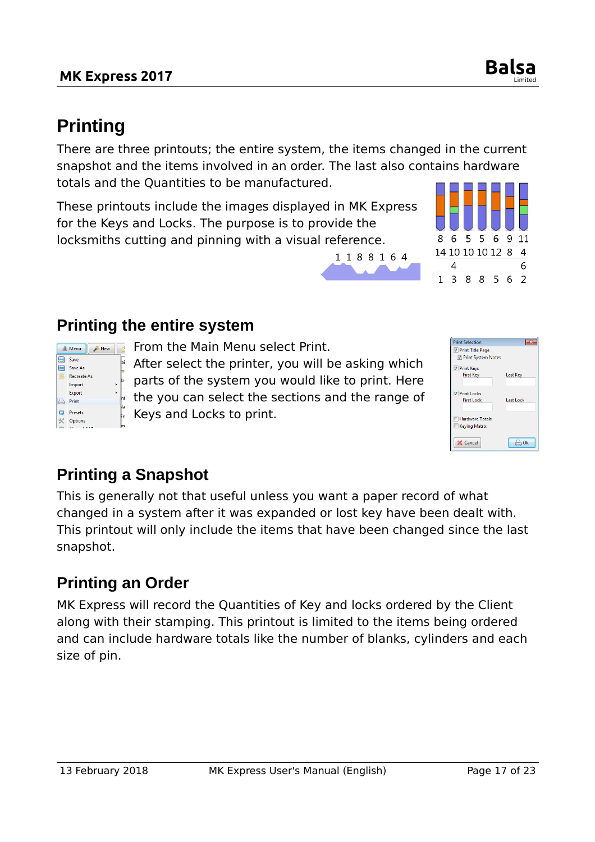**Save** Save As

**Print** 

Recreate As Import Export

**E** Menu  $R$  New  $\begin{bmatrix} 1 & 1 \\ 1 & 1 \end{bmatrix}$ 

#### **MK Express 2017**

## <span id="page-16-3"></span>**Printing**

There are three printouts; the entire system, the items changed in the current snapshot and the items involved in an order. The last also contains hardware totals and the Quantities to be manufactured.

1188164

These printouts include the images displayed in MK Express for the Keys and Locks. The purpose is to provide the locksmiths cutting and pinning with a visual reference.

From the Main Menu select Print.

After select the printer, you will be asking which parts of the system you would like to print. Here the you can select the sections and the range of Keys and Locks to print.

### <span id="page-16-1"></span>**Printing a Snapshot**

<span id="page-16-2"></span>**Printing the entire system**

This is generally not that useful unless you want a paper record of what changed in a system after it was expanded or lost key have been dealt with. This printout will only include the items that have been changed since the last snapshot.

### <span id="page-16-0"></span>**Printing an Order**

MK Express will record the Quantities of Key and locks ordered by the Client along with their stamping. This printout is limited to the items being ordered and can include hardware totals like the number of blanks, cylinders and each size of pin.

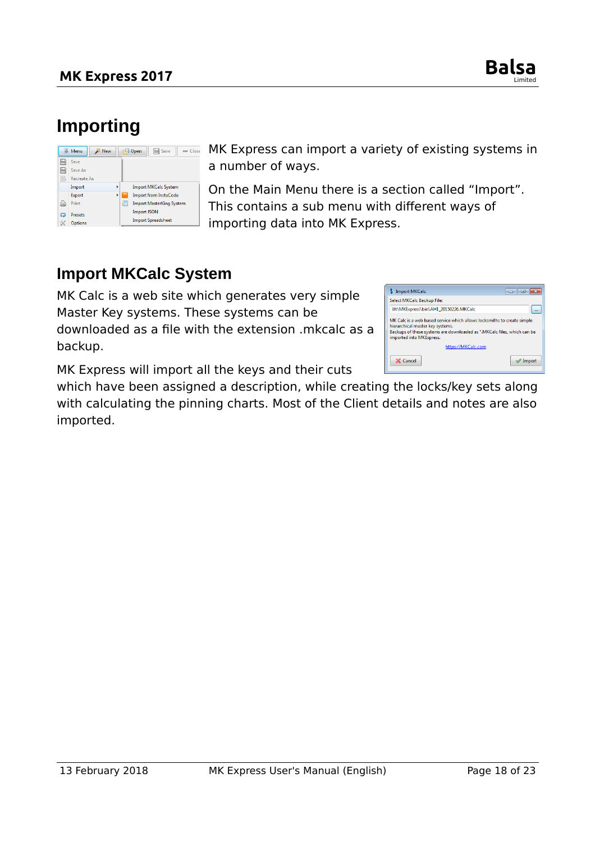

### <span id="page-17-1"></span>**Importing**

|           | <b>亚 Menu</b><br><b>New</b> |   | Save<br>Open<br>$\equiv$ Close  |
|-----------|-----------------------------|---|---------------------------------|
| ⊫         | Save                        |   |                                 |
| ⊫         | Save As                     |   |                                 |
| ig.       | <b>Recreate As</b>          |   |                                 |
|           | Import                      | ٠ | <b>Import MKCalc System</b>     |
|           | Export                      |   | <b>Import from InstaCode</b>    |
| 眞         | Print                       |   | <b>Import MasterKing System</b> |
| 72        | <b>Presets</b>              |   | <b>Import JSON</b>              |
| $\propto$ | <b>Options</b>              |   | <b>Import Spreadsheet</b>       |

MK Express can import a variety of existing systems in a number of ways.

On the Main Menu there is a section called "Import". This contains a sub menu with different ways of importing data into MK Express.

#### <span id="page-17-0"></span>**Import MKCalc System**

MK Calc is a web site which generates very simple Master Key systems. These systems can be

downloaded as a file with the extension .mkcalc as a backup.

MK Express will import all the keys and their cuts

which have been assigned a description, while creating the locks/key sets along with calculating the pinning charts. Most of the Client details and notes are also imported.

| <b>Import MKCalc</b>                                                                                                                                                                                                | a      |
|---------------------------------------------------------------------------------------------------------------------------------------------------------------------------------------------------------------------|--------|
| Select MKCalc Backup File:                                                                                                                                                                                          |        |
| W:\MKExpress\bin\AH1_20150226.MKCalc                                                                                                                                                                                |        |
| MK Calc is a web based service which allows locksmiths to create simple<br>hierarchical master key systems.<br>Backups of these systems are downloaded as *. MKCalc files, which can be<br>imported into MKExpress. |        |
| https://MKCalc.com                                                                                                                                                                                                  |        |
| Cancel                                                                                                                                                                                                              | Import |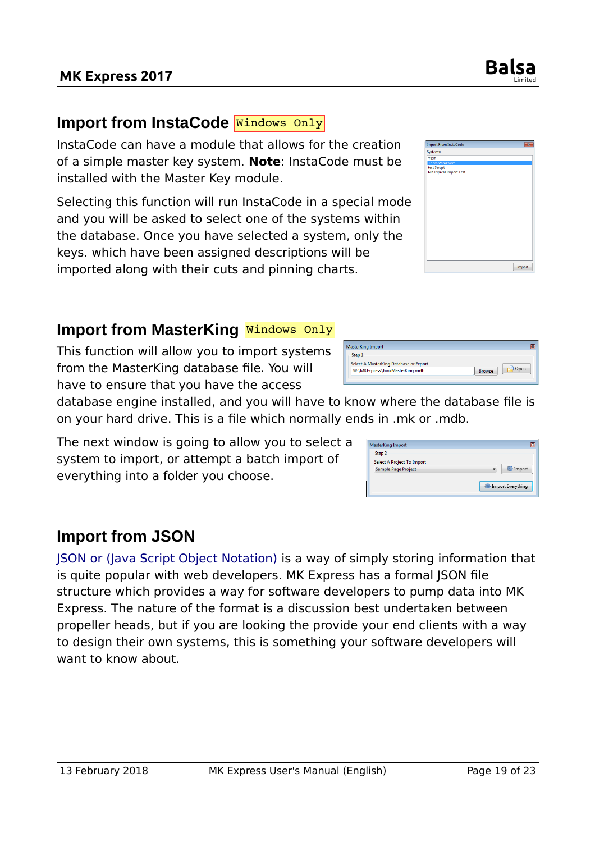#### <span id="page-18-2"></span>Import from InstaCode Mindows Only

**MK Express 2017** 

InstaCode can have a module that allows for the creation of a simple master key system. **Note**: InstaCode must be installed with the Master Key module.

Selecting this function will run InstaCode in a special mode and you will be asked to select one of the systems within the database. Once you have selected a system, only the keys. which have been assigned descriptions will be imported along with their cuts and pinning charts.

### <span id="page-18-1"></span>**Import from MasterKing Nindows Only**

This function will allow you to import systems from the MasterKing database file. You will have to ensure that you have the access

database engine installed, and you will have to know where the database file is on your hard drive. This is a file which normally ends in .mk or .mdb.

The next window is going to allow you to select a system to import, or attempt a batch import of everything into a folder you choose.

### <span id="page-18-0"></span>**Import from JSON**

[JSON or \(Java Script Object Notation\)](https://en.wikipedia.org/wiki/JSON) is a way of simply storing information that is quite popular with web developers. MK Express has a formal JSON file structure which provides a way for software developers to pump data into MK Express. The nature of the format is a discussion best undertaken between propeller heads, but if you are looking the provide your end clients with a way to design their own systems, this is something your software developers will want to know about.

| <b>Import From InstaCode</b>          |  |
|---------------------------------------|--|
| Systems:                              |  |
| <b>TEST</b>                           |  |
| <b>Toora Wind farm</b>                |  |
| test Sarget<br>MK Express Import Test |  |
|                                       |  |
|                                       |  |
|                                       |  |
|                                       |  |
|                                       |  |
|                                       |  |
|                                       |  |
|                                       |  |
|                                       |  |
|                                       |  |
|                                       |  |
|                                       |  |
|                                       |  |

Limited

| MasterKing Import<br>ĸ                                   |  |
|----------------------------------------------------------|--|
| Step 1                                                   |  |
| Select A MasterKing Database or Export                   |  |
| Dpen<br>W:\MKExpress\bin\MasterKing.mdb<br><b>Browse</b> |  |
|                                                          |  |
|                                                          |  |

| Import            |
|-------------------|
|                   |
| Import Everything |
|                   |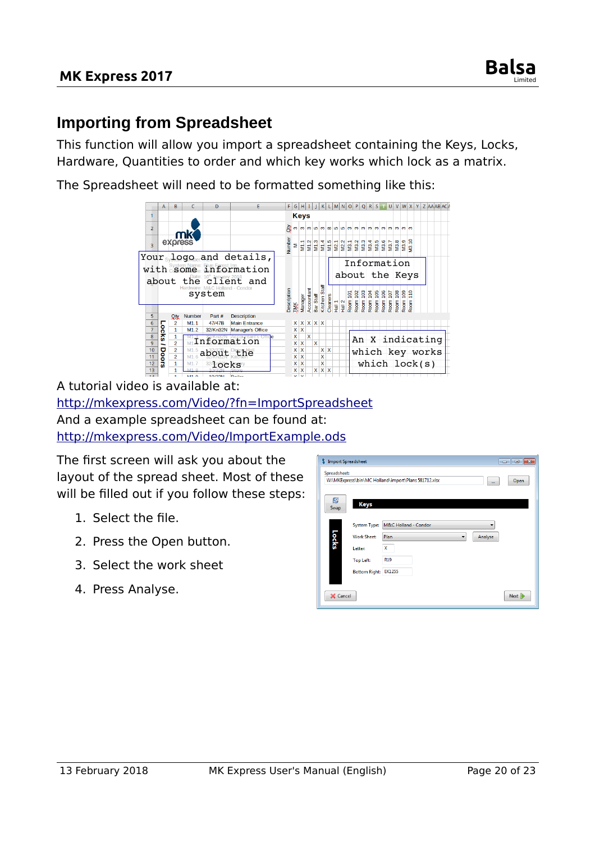

#### <span id="page-19-0"></span>**Importing from Spreadsheet**

This function will allow you import a spreadsheet containing the Keys, Locks, Hardware, Quantities to order and which key works which lock as a matrix.

The Spreadsheet will need to be formatted something like this:



A tutorial video is available at: <http://mkexpress.com/Video/?fn=ImportSpreadsheet> And a example spreadsheet can be found at: <http://mkexpress.com/Video/ImportExample.ods>

The first screen will ask you about the layout of the spread sheet. Most of these will be filled out if you follow these steps:

- 1. Select the file.
- 2. Press the Open button.
- 3. Select the work sheet
- 4. Press Analyse.

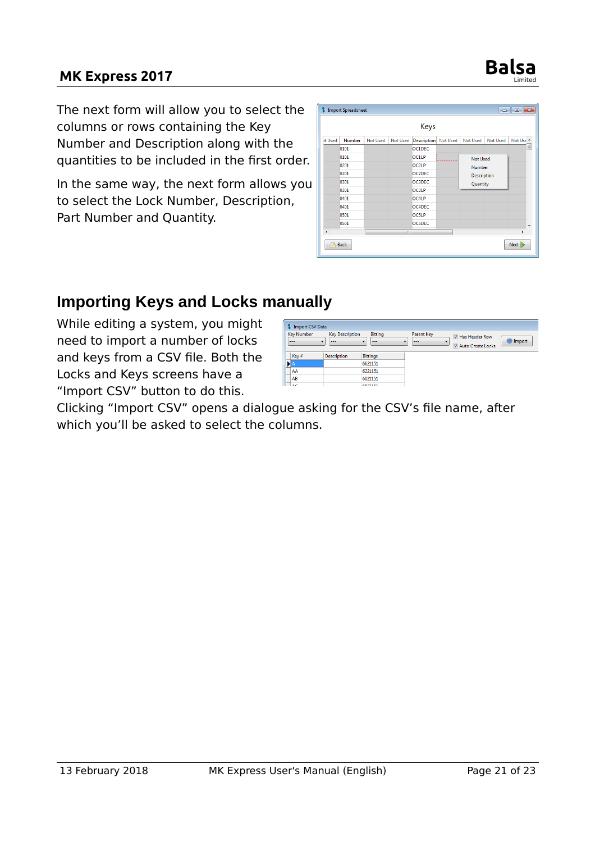### **MK Express 2017 Balsa**



In the same way, the next form allows you to select the Lock Number, Description, Part Number and Quantity.

|                          |        |                 |                 | <b>Keys</b>          |                    |          |                          |
|--------------------------|--------|-----------------|-----------------|----------------------|--------------------|----------|--------------------------|
| <b>ot Used</b>           | Number | <b>Not Used</b> | <b>Not Used</b> | Description Not Used | <b>Not Used</b>    | Not Used | Not Use A                |
|                          | 0101   |                 |                 | OC1DEC               |                    |          | 틔                        |
|                          | 0101   |                 |                 | <b>OC1LP</b>         | <b>Not Used</b>    |          |                          |
|                          | 0201   |                 |                 | OC2LP                | <b>Number</b>      |          |                          |
|                          | 0201   |                 |                 | OC2DEC               | <b>Description</b> |          |                          |
|                          | 0301   |                 |                 | <b>OC3DEC</b>        | Quantity           |          |                          |
|                          | 0301   |                 |                 | <b>OC3LP</b>         |                    |          |                          |
|                          | 0401   |                 |                 | OC4LP                |                    |          |                          |
|                          | 0401   |                 |                 | OC4DEC               |                    |          |                          |
|                          | 0501   |                 |                 | <b>OC5LP</b>         |                    |          |                          |
|                          | 0501   |                 |                 | <b>OC5DEC</b>        |                    |          | $\overline{\phantom{a}}$ |
| $\overline{\phantom{a}}$ |        |                 | an.             |                      |                    |          | k                        |

#### <span id="page-20-0"></span>**Importing Keys and Locks manually**

While editing a system, you might need to import a number of locks and keys from a CSV file. Both the Locks and Keys screens have a "Import CSV" button to do this.

| <b>Import CSV Data</b>                  |                                   |                                                |                              |                                              |        |
|-----------------------------------------|-----------------------------------|------------------------------------------------|------------------------------|----------------------------------------------|--------|
| <b>Key Number</b><br>$\cdot$<br>$- - -$ | <b>Key Description</b><br>$- - -$ | Bitting<br>$\overline{\phantom{a}}$<br>$- - -$ | <b>Parent Key</b><br>$- - -$ | <b>V</b> Has Header Row<br>Auto Create Locks | inport |
| Key#                                    | <b>Description</b>                | <b>Bittings</b>                                |                              |                                              |        |
|                                         |                                   | 6621151                                        |                              |                                              |        |
| AA                                      |                                   | 6221151                                        |                              |                                              |        |
| AB                                      |                                   | 6021151                                        |                              |                                              |        |
| $\sqrt{2}$                              |                                   | 6971151                                        |                              |                                              |        |

Clicking "Import CSV" opens a dialogue asking for the CSV's file name, after which you'll be asked to select the columns.

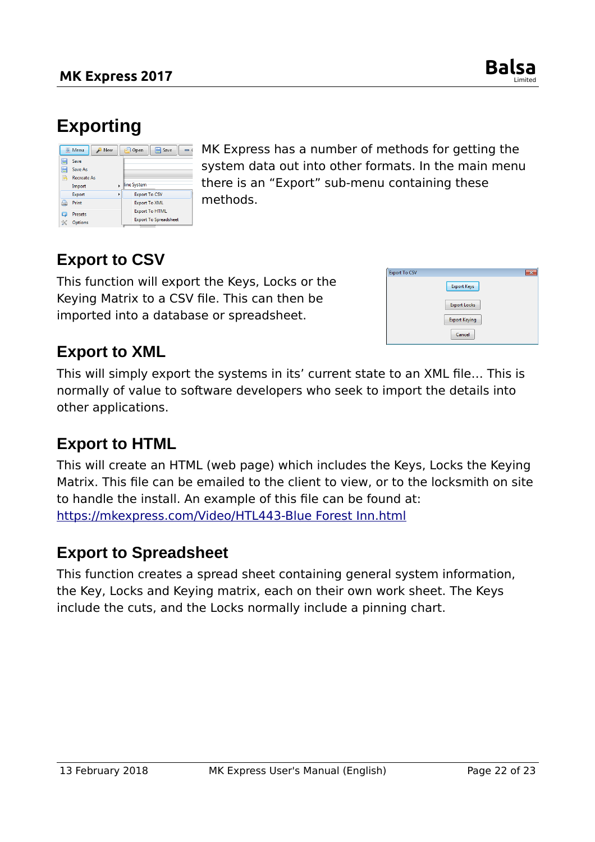

### <span id="page-21-4"></span>**Exporting**

|                    | <b>亚 Menu</b><br><b>New</b>           |          | ₽<br>Save<br>Open                                     |
|--------------------|---------------------------------------|----------|-------------------------------------------------------|
| 僵<br>H<br><b>B</b> | Save<br>Save As<br><b>Recreate As</b> |          |                                                       |
|                    | Import                                |          | line System                                           |
|                    | Export                                | <b>F</b> | <b>Export To CSV</b>                                  |
| 曲                  | Print                                 |          | <b>Export To XML</b>                                  |
| ධ<br>≪             | <b>Presets</b><br>Options             |          | <b>Export To HTML</b><br><b>Export To Spreadsheet</b> |

MK Express has a number of methods for getting the system data out into other formats. In the main menu there is an "Export" sub-menu containing these methods.

#### <span id="page-21-3"></span>**Export to CSV**

This function will export the Keys, Locks or the Keying Matrix to a CSV file. This can then be imported into a database or spreadsheet.

| <b>Export To CSV</b> |                      | $\boldsymbol{\Sigma}$ |
|----------------------|----------------------|-----------------------|
|                      | <b>Export Keys</b>   |                       |
|                      | <b>Export Locks</b>  |                       |
|                      | <b>Export Keying</b> |                       |
|                      | Cancel               |                       |

#### <span id="page-21-2"></span>**Export to XML**

This will simply export the systems in its' current state to an XML file… This is normally of value to software developers who seek to import the details into other applications.

#### <span id="page-21-1"></span>**Export to HTML**

This will create an HTML (web page) which includes the Keys, Locks the Keying Matrix. This file can be emailed to the client to view, or to the locksmith on site to handle the install. An example of this file can be found at: [https://mkexpress.com/Video/HTL443-Blue Forest Inn.html](https://mkexpress.com/Video/HTL443-Blue%20Forest%20Inn.html)

#### <span id="page-21-0"></span>**Export to Spreadsheet**

This function creates a spread sheet containing general system information, the Key, Locks and Keying matrix, each on their own work sheet. The Keys include the cuts, and the Locks normally include a pinning chart.